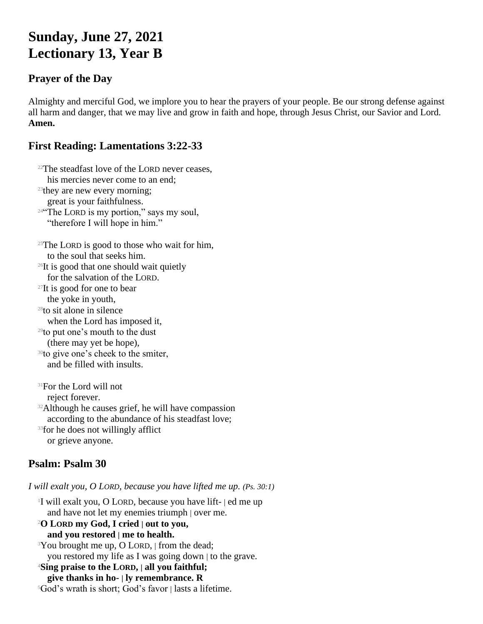# **Sunday, June 27, 2021 Lectionary 13, Year B**

### **Prayer of the Day**

Almighty and merciful God, we implore you to hear the prayers of your people. Be our strong defense against all harm and danger, that we may live and grow in faith and hope, through Jesus Christ, our Savior and Lord. **Amen.**

# **First Reading: Lamentations 3:22-33**

 $22$ The steadfast love of the LORD never ceases.

his mercies never come to an end; <sup>23</sup>they are new every morning; great is your faithfulness. <sup>24"</sup>The LORD is my portion," says my soul, "therefore I will hope in him."  $25$ The LORD is good to those who wait for him, to the soul that seeks him. <sup>26</sup>It is good that one should wait quietly for the salvation of the LORD. <sup>27</sup>It is good for one to bear the yoke in youth, <sup>28</sup>to sit alone in silence when the Lord has imposed it, <sup>29</sup>to put one's mouth to the dust (there may yet be hope), <sup>30</sup>to give one's cheek to the smiter, and be filled with insults.

<sup>31</sup>For the Lord will not reject forever. <sup>32</sup>Although he causes grief, he will have compassion according to the abundance of his steadfast love;

<sup>33</sup>for he does not willingly afflict or grieve anyone.

# **Psalm: Psalm 30**

*I will exalt you, O LORD, because you have lifted me up. (Ps. 30:1)*

1 I will exalt you, O LORD, because you have lift- | ed me up and have not let my enemies triumph | over me. <sup>2</sup>**O LORD my God, I cried | out to you, and you restored | me to health.** <sup>3</sup>You brought me up, O LORD, | from the dead; you restored my life as I was going down | to the grave. <sup>4</sup>**Sing praise to the LORD, | all you faithful; give thanks in ho- | ly remembrance. R**  $5God's$  wrath is short; God's favor | lasts a lifetime.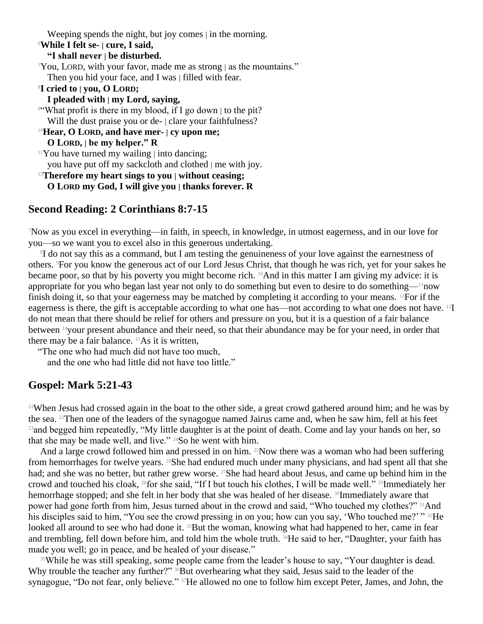Weeping spends the night, but joy comes | in the morning.

#### <sup>6</sup>**While I felt se- | cure, I said,**

**"I shall never | be disturbed.**

 $\gamma$ You, LORD, with your favor, made me as strong | as the mountains."

Then you hid your face, and I was | filled with fear.

<sup>8</sup>**I cried to | you, O LORD;**

**I pleaded with | my Lord, saying,**

<sup>9"</sup>What profit is there in my blood, if I go down to the pit? Will the dust praise you or de- | clare your faithfulness?

<sup>10</sup>**Hear, O LORD, and have mer- | cy upon me; O LORD, | be my helper." R**

 $11$ You have turned my wailing  $\vert$  into dancing;

you have put off my sackcloth and clothed | me with joy.

<sup>12</sup>**Therefore my heart sings to you | without ceasing;**

**O LORD my God, I will give you | thanks forever. R**

#### **Second Reading: 2 Corinthians 8:7-15**

<sup>7</sup>Now as you excel in everything—in faith, in speech, in knowledge, in utmost eagerness, and in our love for you—so we want you to excel also in this generous undertaking.

<sup>8</sup>I do not say this as a command, but I am testing the genuineness of your love against the earnestness of others. 9For you know the generous act of our Lord Jesus Christ, that though he was rich, yet for your sakes he became poor, so that by his poverty you might become rich. 10And in this matter I am giving my advice: it is appropriate for you who began last year not only to do something but even to desire to do something—11now finish doing it, so that your eagerness may be matched by completing it according to your means. 12For if the eagerness is there, the gift is acceptable according to what one has—not according to what one does not have. 13I do not mean that there should be relief for others and pressure on you, but it is a question of a fair balance between 14your present abundance and their need, so that their abundance may be for your need, in order that there may be a fair balance. 15As it is written,

"The one who had much did not have too much,

and the one who had little did not have too little."

#### **Gospel: Mark 5:21-43**

<sup>21</sup>When Jesus had crossed again in the boat to the other side, a great crowd gathered around him; and he was by the sea. 22Then one of the leaders of the synagogue named Jairus came and, when he saw him, fell at his feet <sup>23</sup>and begged him repeatedly, "My little daughter is at the point of death. Come and lay your hands on her, so that she may be made well, and live."  $24$ So he went with him.

And a large crowd followed him and pressed in on him.  $^{25}$ Now there was a woman who had been suffering from hemorrhages for twelve years. <sup>26</sup>She had endured much under many physicians, and had spent all that she had; and she was no better, but rather grew worse. <sup>27</sup>She had heard about Jesus, and came up behind him in the crowd and touched his cloak, 28for she said, "If I but touch his clothes, I will be made well." 29Immediately her hemorrhage stopped; and she felt in her body that she was healed of her disease. <sup>30</sup>Immediately aware that power had gone forth from him, Jesus turned about in the crowd and said, "Who touched my clothes?" 31And his disciples said to him, "You see the crowd pressing in on you; how can you say, 'Who touched me?' "<sup>32</sup>He looked all around to see who had done it. <sup>33</sup>But the woman, knowing what had happened to her, came in fear and trembling, fell down before him, and told him the whole truth. 34He said to her, "Daughter, your faith has made you well; go in peace, and be healed of your disease."

<sup>35</sup>While he was still speaking, some people came from the leader's house to say, "Your daughter is dead. Why trouble the teacher any further?" <sup>36</sup>But overhearing what they said, Jesus said to the leader of the synagogue, "Do not fear, only believe." <sup>37</sup>He allowed no one to follow him except Peter, James, and John, the